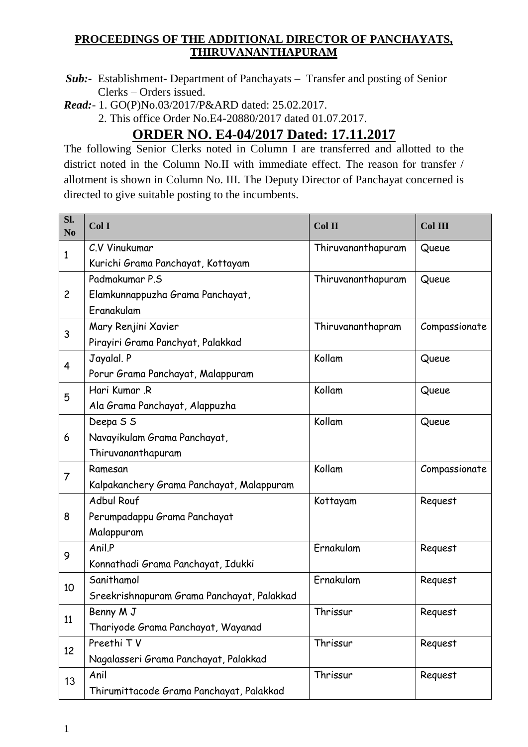## **PROCEEDINGS OF THE ADDITIONAL DIRECTOR OF PANCHAYATS, THIRUVANANTHAPURAM**

- *Sub:-* Establishment- Department of Panchayats Transfer and posting of Senior Clerks – Orders issued.
- *Read:* 1. GO(P)No.03/2017/P&ARD dated: 25.02.2017.

2. This office Order No.E4-20880/2017 dated 01.07.2017.

## **ORDER NO. E4-04/2017 Dated: 17.11.2017**

The following Senior Clerks noted in Column I are transferred and allotted to the district noted in the Column No.II with immediate effect. The reason for transfer / allotment is shown in Column No. III. The Deputy Director of Panchayat concerned is directed to give suitable posting to the incumbents.

| Sl.<br>N <sub>0</sub> | ColI                                       | Col II             | Col III       |
|-----------------------|--------------------------------------------|--------------------|---------------|
| 1                     | C.V Vinukumar                              | Thiruvananthapuram | Queue         |
|                       | Kurichi Grama Panchayat, Kottayam          |                    |               |
| $\overline{c}$        | Padmakumar P.S                             | Thiruvananthapuram | Queue         |
|                       | Elamkunnappuzha Grama Panchayat,           |                    |               |
|                       | Eranakulam                                 |                    |               |
| 3                     | Mary Renjini Xavier                        | Thiruvananthapram  | Compassionate |
|                       | Pirayiri Grama Panchyat, Palakkad          |                    |               |
| 4                     | Jayalal. P                                 | Kollam             | Queue         |
|                       | Porur Grama Panchayat, Malappuram          |                    |               |
| 5                     | Hari Kumar, R                              | Kollam             | Queue         |
|                       | Ala Grama Panchayat, Alappuzha             |                    |               |
| 6                     | Deepa S S                                  | Kollam             | Queue         |
|                       | Navayikulam Grama Panchayat,               |                    |               |
|                       | Thiruvananthapuram                         |                    |               |
| $\overline{7}$        | Ramesan                                    | Kollam             | Compassionate |
|                       | Kalpakanchery Grama Panchayat, Malappuram  |                    |               |
| 8                     | <b>Adbul Rouf</b>                          | Kottayam           | Request       |
|                       | Perumpadappu Grama Panchayat               |                    |               |
|                       | Malappuram                                 |                    |               |
| 9                     | Anil.P                                     | Ernakulam          | Request       |
|                       | Konnathadi Grama Panchayat, Idukki         |                    |               |
| 10                    | Sanithamol                                 | Ernakulam          | Request       |
|                       | Sreekrishnapuram Grama Panchayat, Palakkad |                    |               |
| 11                    | Benny M J                                  | Thrissur           | Request       |
|                       | Thariyode Grama Panchayat, Wayanad         |                    |               |
| 12                    | Preethi TV                                 | Thrissur           | Request       |
|                       | Nagalasseri Grama Panchayat, Palakkad      |                    |               |
| 13                    | Anil                                       | Thrissur           | Request       |
|                       | Thirumittacode Grama Panchayat, Palakkad   |                    |               |